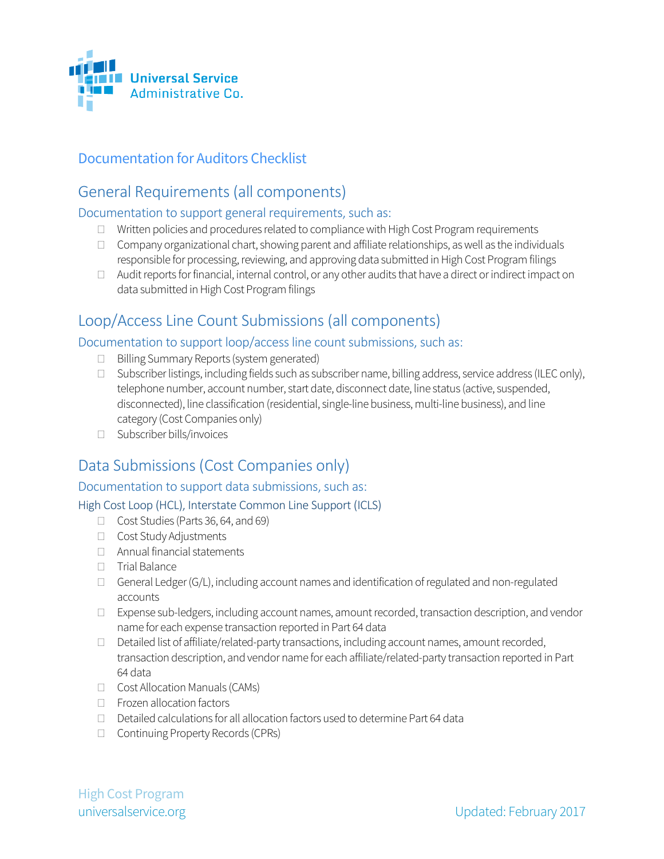

## Documentation for Auditors Checklist

# General Requirements (all components)

## Documentation to support general requirements, such as:

- $\Box$  Written policies and procedures related to compliance with High Cost Program requirements
- $\Box$  Company organizational chart, showing parent and affiliate relationships, as well as the individuals responsible for processing, reviewing, and approving data submitted in High Cost Program filings
- $\Box$  Audit reports for financial, internal control, or any other audits that have a direct or indirect impact on data submitted in High Cost Program filings

## Loop/Access Line Count Submissions (all components)

## Documentation to support loop/access line count submissions, such as:

- $\Box$  Billing Summary Reports (system generated)
- $\Box$  Subscriber listings, including fields such as subscriber name, billing address, service address (ILEC only), telephone number, account number, start date, disconnect date, line status (active, suspended, disconnected), line classification (residential, single-line business, multi-line business), and line category (Cost Companies only)
- □ Subscriber bills/invoices

# Data Submissions (Cost Companies only)

## Documentation to support data submissions, such as:

## High Cost Loop (HCL), Interstate Common Line Support (ICLS)

- Cost Studies (Parts 36, 64, and 69)
- Cost Study Adjustments
- Annual financial statements
- Trial Balance
- $\Box$  General Ledger (G/L), including account names and identification of regulated and non-regulated accounts
- $\Box$  Expense sub-ledgers, including account names, amount recorded, transaction description, and vendor name for each expense transaction reported in Part 64 data
- $\Box$  Detailed list of affiliate/related-party transactions, including account names, amount recorded, transaction description, and vendor name for each affiliate/related-party transaction reported in Part 64 data
- □ Cost Allocation Manuals (CAMs)
- □ Frozen allocation factors
- $\Box$  Detailed calculations for all allocation factors used to determine Part 64 data
- □ Continuing Property Records (CPRs)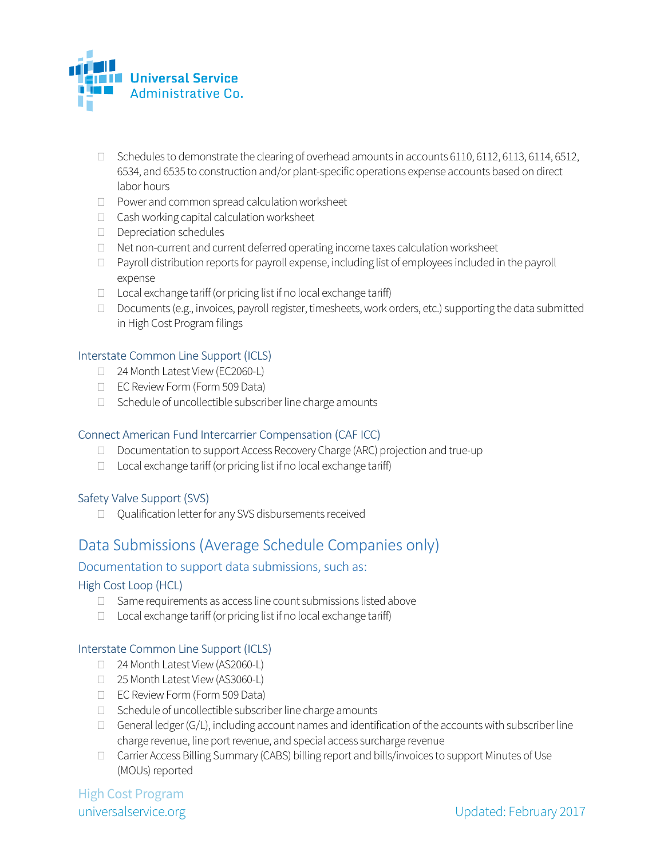

- $\Box$  Schedules to demonstrate the clearing of overhead amounts in accounts 6110, 6112, 6113, 6114, 6512, 6534, and 6535 to construction and/or plant-specific operations expense accounts based on direct labor hours
- $\Box$  Power and common spread calculation worksheet
- $\Box$  Cash working capital calculation worksheet
- Depreciation schedules
- $\Box$  Net non-current and current deferred operating income taxes calculation worksheet
- $\Box$  Payroll distribution reports for payroll expense, including list of employees included in the payroll expense
- $\Box$  Local exchange tariff (or pricing list if no local exchange tariff)
- D Documents (e.g., invoices, payroll register, timesheets, work orders, etc.) supporting the data submitted in High Cost Program filings

#### Interstate Common Line Support (ICLS)

- □ 24 Month Latest View (EC2060-L)
- □ EC Review Form (Form 509 Data)
- $\Box$  Schedule of uncollectible subscriber line charge amounts

### Connect American Fund Intercarrier Compensation (CAF ICC)

- D Documentation to support Access Recovery Charge (ARC) projection and true-up
- $\Box$  Local exchange tariff (or pricing list if no local exchange tariff)

### Safety Valve Support (SVS)

□ Qualification letter for any SVS disbursements received

## Data Submissions (Average Schedule Companies only)

### Documentation to support data submissions, such as:

### High Cost Loop (HCL)

- $\Box$  Same requirements as access line count submissions listed above
- $\Box$  Local exchange tariff (or pricing list if no local exchange tariff)

#### Interstate Common Line Support (ICLS)

- □ 24 Month Latest View (AS2060-L)
- □ 25 Month Latest View (AS3060-L)
- EC Review Form (Form 509 Data)
- $\Box$  Schedule of uncollectible subscriber line charge amounts
- $\Box$  General ledger (G/L), including account names and identification of the accounts with subscriber line charge revenue, line port revenue, and special access surcharge revenue
- □ Carrier Access Billing Summary (CABS) billing report and bills/invoices to support Minutes of Use (MOUs) reported

High Cost Program